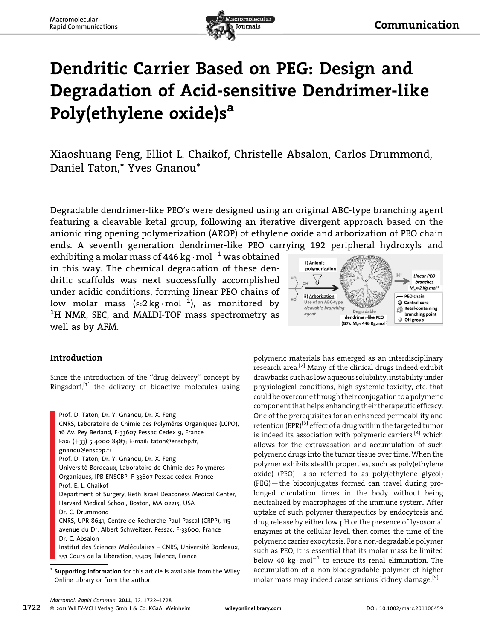

## Dendritic Carrier Based on PEG: Design and Degradation of Acid-sensitive Dendrimer-like Poly(ethylene oxide)s<sup>a</sup>

Xiaoshuang Feng, Elliot L. Chaikof, Christelle Absalon, Carlos Drummond, Daniel Taton,\* Yves Gnanou\*

Degradable dendrimer-like PEO's were designed using an original ABC-type branching agent featuring a cleavable ketal group, following an iterative divergent approach based on the anionic ring opening polymerization (AROP) of ethylene oxide and arborization of PEO chain ends. A seventh generation dendrimer-like PEO carrying 192 peripheral hydroxyls and

exhibiting a molar mass of 446 kg  $\cdot$  mol $^{-1}$  was obtained in this way. The chemical degradation of these dendritic scaffolds was next successfully accomplished under acidic conditions, forming linear PEO chains of low molar mass ( $\approx$ 2 kg $\cdot$ mol $^{-1}$ ), as monitored by <sup>1</sup>H NMR, SEC, and MALDI-TOF mass spectrometry as well as by AFM.



## Introduction

Since the introduction of the ''drug delivery'' concept by Ringsdorf, $^{[1]}$  the delivery of bioactive molecules using

Prof. D. Taton, Dr. Y. Gnanou, Dr. X. Feng CNRS, Laboratoire de Chimie des Polymères Organiques (LCPO), 16 Av. Pey Berland, F-33607 Pessac Cedex 9, France Fax:  $(+33)$  5 4000 8487; E-mail: taton@enscbp.fr, gnanou@enscbp.fr Prof. D. Taton, Dr. Y. Gnanou, Dr. X. Feng Université Bordeaux, Laboratoire de Chimie des Polymères Organiques, IPB-ENSCBP, F-33607 Pessac cedex, France Prof. E. L. Chaikof Department of Surgery, Beth Israel Deaconess Medical Center, Harvard Medical School, Boston, MA 02215, USA Dr. C. Drummond CNRS, UPR 8641, Centre de Recherche Paul Pascal (CRPP), 115 avenue du Dr. Albert Schweitzer, Pessac, F-33600, France Dr. C. Absalon

Institut des Sciences Moléculaires – CNRS, Université Bordeaux, 351 Cours de la Libération, 33405 Talence, France

polymeric materials has emerged as an interdisciplinary research area.<sup>[2]</sup> Many of the clinical drugs indeed exhibit drawbacks such as low aqueous solubility, instability under physiological conditions, high systemic toxicity, etc. that could be overcome through their conjugation to a polymeric component that helps enhancing their therapeutic efficacy. One of the prerequisites for an enhanced permeability and retention (EPR)<sup>[3]</sup> effect of a drug within the targeted tumor is indeed its association with polymeric carriers, $[4]$  which allows for the extravasation and accumulation of such polymeric drugs into the tumor tissue over time. When the polymer exhibits stealth properties, such as poly(ethylene oxide) (PEO)—also referred to as poly(ethylene glycol) (PEG)—the bioconjugates formed can travel during prolonged circulation times in the body without being neutralized by macrophages of the immune system. After uptake of such polymer therapeutics by endocytosis and drug release by either low pH or the presence of lysosomal enzymes at the cellular level, then comes the time of the polymeric carrier exocytosis. For a non-degradable polymer such as PEO, it is essential that its molar mass be limited below 40 kg $\cdot$ mol $^{-1}$  to ensure its renal elimination. The accumulation of a non-biodegradable polymer of higher molar mass may indeed cause serious kidney damage.<sup>[5]</sup>

Supporting Information for this article is available from the Wiley Online Library or from the author.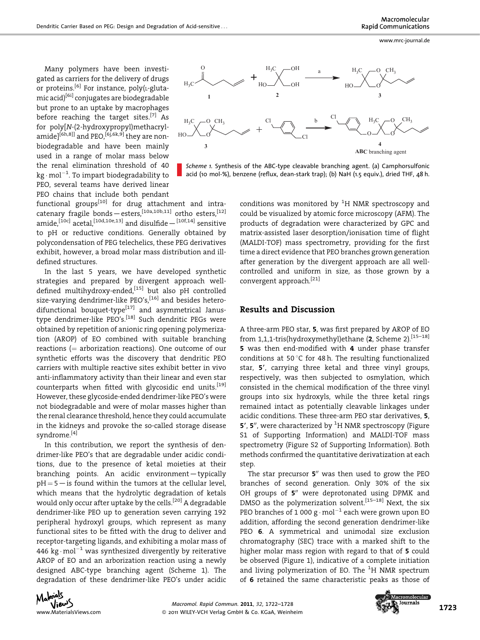Many polymers have been investigated as carriers for the delivery of drugs or proteins.<sup>[6]</sup> For instance, poly( $L$ -glutamic acid)[6i] conjugates are biodegradable but prone to an uptake by macrophages before reaching the target sites.<sup>[7]</sup> As for poly[N-(2-hydroxypropyl)methacrylamide]<sup>[6h,8]]</sup> and PEO,<sup>[6],6k,9]</sup> they are nonbiodegradable and have been mainly used in a range of molar mass below the renal elimination threshold of 40 kg  $\cdot$  mol $^{-1}$ . To impart biodegradability to PEO, several teams have derived linear PEO chains that include both pendant

functional groups $[10]$  for drug attachment and intracatenary fragile bonds—esters,[10a,10b,11] ortho esters,[12] amide,<sup>[10c]</sup> acetal,<sup>[10d,10e,13]</sup> and disulfide  $-$ <sup>[10f,14]</sup> sensitive to pH or reductive conditions. Generally obtained by polycondensation of PEG telechelics, these PEG derivatives exhibit, however, a broad molar mass distribution and illdefined structures.

In the last 5 years, we have developed synthetic strategies and prepared by divergent approach welldefined multihydroxy-ended,<sup>[15]</sup> but also pH controlled size-varying dendrimer-like PEO's,<sup>[16]</sup> and besides hetero $difunctional$  bouquet-type $[17]$  and asymmetrical Janustype dendrimer-like PEO's.<sup>[18]</sup> Such dendritic PEGs were obtained by repetition of anionic ring opening polymerization (AROP) of EO combined with suitable branching reactions  $(=$  arborization reactions). One outcome of our synthetic efforts was the discovery that dendritic PEO carriers with multiple reactive sites exhibit better in vivo anti-inflammatory activity than their linear and even star counterparts when fitted with glycosidic end units.<sup>[19]</sup> However, these glycoside-ended dendrimer-like PEO's were not biodegradable and were of molar masses higher than the renal clearance threshold, hence they could accumulate in the kidneys and provoke the so-called storage disease syndrome.[4]

In this contribution, we report the synthesis of dendrimer-like PEO's that are degradable under acidic conditions, due to the presence of ketal moieties at their branching points. An acidic environment—typically  $pH = 5$  – is found within the tumors at the cellular level, which means that the hydrolytic degradation of ketals would only occur after uptake by the cells.<sup>[20]</sup> A degradable dendrimer-like PEO up to generation seven carrying 192 peripheral hydroxyl groups, which represent as many functional sites to be fitted with the drug to deliver and receptor-targeting ligands, and exhibiting a molar mass of 446 kg $\cdot$  mol $^{-1}$  was synthesized divergently by reiterative AROP of EO and an arborization reaction using a newly designed ABC-type branching agent (Scheme 1). The degradation of these dendrimer-like PEO's under acidic



Scheme 1. Synthesis of the ABC-type cleavable branching agent. (a) Camphorsulfonic acid (10 mol-%), benzene (reflux, dean-stark trap); (b) NaH (1.5 equiv.), dried THF, 48 h.

conditions was monitored by  ${}^{1}H$  NMR spectroscopy and could be visualized by atomic force microscopy (AFM). The products of degradation were characterized by GPC and matrix-assisted laser desorption/ionisation time of flight (MALDI-TOF) mass spectrometry, providing for the first time a direct evidence that PEO branches grown generation after generation by the divergent approach are all wellcontrolled and uniform in size, as those grown by a convergent approach.<sup>[21]</sup>

## Results and Discussion

A three-arm PEO star, 5, was first prepared by AROP of EO from 1,1,1-tris(hydroxymethyl)ethane (2, Scheme 2).<sup>[15–18]</sup> 5 was then end-modified with 4 under phase transfer conditions at 50 $\degree$ C for 48 h. The resulting functionalized star, 5', carrying three ketal and three vinyl groups, respectively, was then subjected to osmylation, which consisted in the chemical modification of the three vinyl groups into six hydroxyls, while the three ketal rings remained intact as potentially cleavable linkages under acidic conditions. These three-arm PEO star derivatives, 5, 5', 5", were characterized by  ${}^{1}\mathrm{H}$  NMR spectroscopy (Figure S1 of Supporting Information) and MALDI-TOF mass spectrometry (Figure S2 of Supporting Information). Both methods confirmed the quantitative derivatization at each step.

The star precursor  $5$ <sup>"</sup> was then used to grow the PEO branches of second generation. Only 30% of the six OH groups of  $5$ <sup>"</sup> were deprotonated using DPMK and DMSO as the polymerization solvent.<sup>[15–18]</sup> Next, the six PEO branches of 1 000 g  $\cdot$  mol $^{-1}$  each were grown upon EO addition, affording the second generation dendrimer-like PEO 6. A symmetrical and unimodal size exclusion chromatography (SEC) trace with a marked shift to the higher molar mass region with regard to that of 5 could be observed (Figure 1), indicative of a complete initiation and living polymerization of EO. The <sup>1</sup>H NMR spectrum of 6 retained the same characteristic peaks as those of



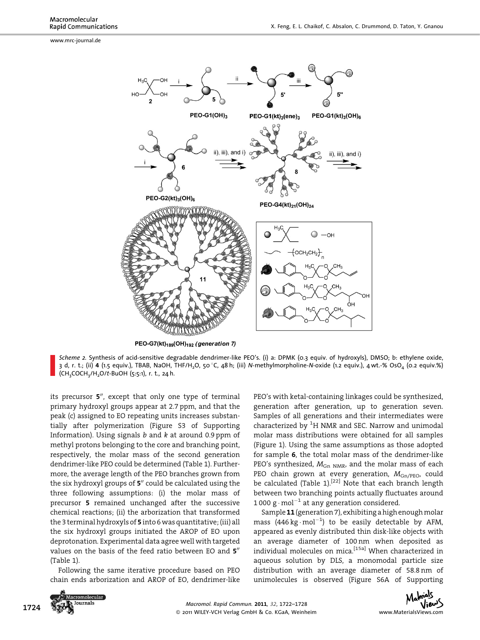www.mrc-journal.de



PEO-G7(kt)<sub>189</sub>(OH)<sub>192</sub> (generation 7)

Scheme 2. Synthesis of acid-sensitive degradable dendrimer-like PEO's. (i) a: DPMK (0.3 equiv. of hydroxyls), DMSO; b: ethylene oxide, 3 d, r. t.; (ii) 4 (1.5 equiv.), TBAB, NaOH, THF/H<sub>2</sub>O, 50 °C, 48 h; (iii) N-methylmorpholine-N-oxide (1.2 equiv.), 4 wt.-% OsO<sub>4</sub> (0.2 equiv.%)  $(CH<sub>3</sub>COCH<sub>3</sub>/H<sub>2</sub>O/t-BuOH (5:5:1), r. t., 24 h.$ 

its precursor  $5$ <sup>"</sup>, except that only one type of terminal primary hydroxyl groups appear at 2.7 ppm, and that the peak (c) assigned to EO repeating units increases substantially after polymerization (Figure S3 of Supporting Information). Using signals  $b$  and  $k$  at around 0.9 ppm of methyl protons belonging to the core and branching point, respectively, the molar mass of the second generation dendrimer-like PEO could be determined (Table 1). Furthermore, the average length of the PEO branches grown from the six hydroxyl groups of  $5<sup>n</sup>$  could be calculated using the three following assumptions: (i) the molar mass of precursor 5 remained unchanged after the successive chemical reactions; (ii) the arborization that transformed the 3 terminal hydroxyls of 5 into 6 was quantitative; (iii) all the six hydroxyl groups initiated the AROP of EO upon deprotonation. Experimental data agree well with targeted values on the basis of the feed ratio between EO and 5" (Table 1).

Following the same iterative procedure based on PEO chain ends arborization and AROP of EO, dendrimer-like PEO's with ketal-containing linkages could be synthesized, generation after generation, up to generation seven. Samples of all generations and their intermediates were characterized by  $^1\!H$  NMR and SEC. Narrow and unimodal molar mass distributions were obtained for all samples (Figure 1). Using the same assumptions as those adopted for sample 6, the total molar mass of the dendrimer-like PEO's synthesized,  $M_{\text{Gn NMR}}$ , and the molar mass of each PEO chain grown at every generation,  $M_{\text{Gn/PEO}}$ , could be calculated (Table 1).<sup>[22]</sup> Note that each branch length between two branching points actually fluctuates around 1 000 g  $\cdot$  mol $^{-1}$  at any generation considered.

Sample 11(generation 7), exhibiting a high enough molar mass  $(446 \text{ kg} \cdot \text{mol}^{-1})$  to be easily detectable by AFM, appeared as evenly distributed thin disk-like objects with an average diameter of 100 nm when deposited as individual molecules on mica.[15a] When characterized in aqueous solution by DLS, a monomodal particle size distribution with an average diameter of 58.8 nm of unimolecules is observed (Figure S6A of Supporting

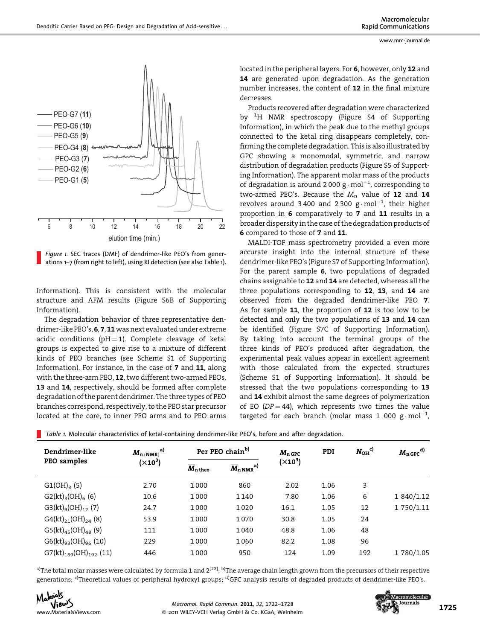

Figure 1. SEC traces (DMF) of dendrimer-like PEO's from generations 1–7 (from right to left), using RI detection (see also Table 1).

Information). This is consistent with the molecular structure and AFM results (Figure S6B of Supporting Information).

The degradation behavior of three representative dendrimer-like PEO's, 6, 7, 11 was next evaluated under extreme acidic conditions ( $pH = 1$ ). Complete cleavage of ketal groups is expected to give rise to a mixture of different kinds of PEO branches (see Scheme S1 of Supporting Information). For instance, in the case of 7 and 11, along with the three-arm PEO, 12, two different two-armed PEOs, 13 and 14, respectively, should be formed after complete degradation of the parent dendrimer. The three types of PEO branches correspond, respectively, to the PEO star precursor located at the core, to inner PEO arms and to PEO arms located in the peripheral layers. For 6, however, only 12 and 14 are generated upon degradation. As the generation number increases, the content of 12 in the final mixture decreases.

Products recovered after degradation were characterized by <sup>1</sup>H NMR spectroscopy (Figure S4 of Supporting Information), in which the peak due to the methyl groups connected to the ketal ring disappears completely, confirming the complete degradation. This is also illustrated by GPC showing a monomodal, symmetric, and narrow distribution of degradation products (Figure S5 of Supporting Information). The apparent molar mass of the products of degradation is around 2 000 g $\cdot$  mol $^{-1}$ , corresponding to two-armed PEO's. Because the  $\overline{M}_n$  value of 12 and 14 revolves around 3 400 and 2 300  $\rm g \cdot mol^{-1}$ , their higher proportion in 6 comparatively to 7 and 11 results in a broader dispersity in the case of the degradation products of 6 compared to those of 7 and 11.

MALDI-TOF mass spectrometry provided a even more accurate insight into the internal structure of these dendrimer-like PEO's (Figure S7 of Supporting Information). For the parent sample 6, two populations of degraded chains assignable to 12 and 14 are detected, whereas all the three populations corresponding to 12, 13, and 14 are observed from the degraded dendrimer-like PEO 7. As for sample 11, the proportion of 12 is too low to be detected and only the two populations of 13 and 14 can be identified (Figure S7C of Supporting Information). By taking into account the terminal groups of the three kinds of PEO's produced after degradation, the experimental peak values appear in excellent agreement with those calculated from the expected structures (Scheme S1 of Supporting Information). It should be stressed that the two populations corresponding to 13 and 14 exhibit almost the same degrees of polymerization of EO ( $\overline{DP}$  = 44), which represents two times the value targeted for each branch (molar mass 1 000 g $\cdot$ mol $^{-1}$ ,

| Dendrimer-like<br>PEO samples | $\overline{M}_{n(NMR)}^{\rm al}$<br>$(X10^3)$ | Per PEO chain <sup>b)</sup>  |                                     | $\overline{M}_{n \text{ GPC}}$ | PDI  | $N_{OH}$ <sup>c)</sup> | $\overline{M}_{n \text{ GPC}}^{d)}$ |
|-------------------------------|-----------------------------------------------|------------------------------|-------------------------------------|--------------------------------|------|------------------------|-------------------------------------|
|                               |                                               | $\overline{M}_{\rm n\,theo}$ | $\overline{M}_{n \text{ NMR}}^{a)}$ | $(X10^3)$                      |      |                        |                                     |
| $G1(OH)_{3}$ (5)              | 2.70                                          | 1000                         | 860                                 | 2.02                           | 1.06 | 3                      |                                     |
| $G2(kt)_{3}(OH)_{6}(6)$       | 10.6                                          | 1000                         | 1140                                | 7.80                           | 1.06 | 6                      | 1 840/1.12                          |
| $G3(kt)_{9}(OH)_{12}$ (7)     | 24.7                                          | 1000                         | 1020                                | 16.1                           | 1.05 | 12                     | 1 750/1.11                          |
| $G4(kt)_{21}(OH)_{24}(8)$     | 53.9                                          | 1000                         | 1070                                | 30.8                           | 1.05 | 24                     |                                     |
| $G5(kt)_{45}(OH)_{48}$ (9)    | 111                                           | 1000                         | 1040                                | 48.8                           | 1.06 | 48                     |                                     |
| $G6(kt)_{93}(OH)_{96}(10)$    | 229                                           | 1000                         | 1060                                | 82.2                           | 1.08 | 96                     |                                     |
| $G7(kt)_{189}(OH)_{192}(11)$  | 446                                           | 1000                         | 950                                 | 124                            | 1.09 | 192                    | 1 780/1.05                          |

Table 1. Molecular characteristics of ketal-containing dendrimer-like PEO's, before and after degradation.

a)The total molar masses were calculated by formula 1 and 2<sup>[22]</sup>; <sup>b)</sup>The average chain length grown from the precursors of their respective generations; <sup>c)</sup>Theoretical values of peripheral hydroxyl groups; <sup>d)</sup>GPC analysis results of degraded products of dendrimer-like PEO's.



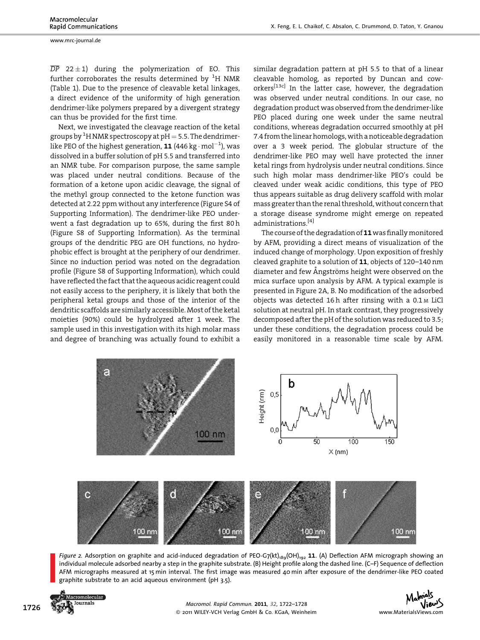www.mrc-journal.de

 $\overline{DP}$  22  $\pm$  1) during the polymerization of EO. This further corroborates the results determined by  $^{\rm 1}{\rm H}$  NMR (Table 1). Due to the presence of cleavable ketal linkages, a direct evidence of the uniformity of high generation dendrimer-like polymers prepared by a divergent strategy can thus be provided for the first time.

Next, we investigated the cleavage reaction of the ketal groups by  $^{\rm 1}$ H NMR spectroscopy at pH  $=$  5.5. The dendrimerlike PEO of the highest generation, **11** (446 kg  $\cdot$  mol $^{-1}$ ), was dissolved in a buffer solution of pH 5.5 and transferred into an NMR tube. For comparison purpose, the same sample was placed under neutral conditions. Because of the formation of a ketone upon acidic cleavage, the signal of the methyl group connected to the ketone function was detected at 2.22 ppm without any interference (Figure S4 of Supporting Information). The dendrimer-like PEO underwent a fast degradation up to 65%, during the first 80 h (Figure S8 of Supporting Information). As the terminal groups of the dendritic PEG are OH functions, no hydrophobic effect is brought at the periphery of our dendrimer. Since no induction period was noted on the degradation profile (Figure S8 of Supporting Information), which could have reflected the fact that the aqueous acidic reagent could not easily access to the periphery, it is likely that both the peripheral ketal groups and those of the interior of the dendritic scaffolds are similarly accessible. Most of the ketal moieties (90%) could be hydrolyzed after 1 week. The sample used in this investigation with its high molar mass and degree of branching was actually found to exhibit a

similar degradation pattern at pH 5.5 to that of a linear cleavable homolog, as reported by Duncan and coworkers<sup>[13c]</sup> In the latter case, however, the degradation was observed under neutral conditions. In our case, no degradation product was observed from the dendrimer-like PEO placed during one week under the same neutral conditions, whereas degradation occurred smoothly at pH 7.4 from the linear homologs, with a noticeable degradation over a 3 week period. The globular structure of the dendrimer-like PEO may well have protected the inner ketal rings from hydrolysis under neutral conditions. Since such high molar mass dendrimer-like PEO's could be cleaved under weak acidic conditions, this type of PEO thus appears suitable as drug delivery scaffold with molar mass greater than the renal threshold, without concern that a storage disease syndrome might emerge on repeated administrations.[4]

The course of the degradation of  $11$  was finally monitored by AFM, providing a direct means of visualization of the induced change of morphology. Upon exposition of freshly cleaved graphite to a solution of 11, objects of 120–140 nm diameter and few Ångströms height were observed on the mica surface upon analysis by AFM. A typical example is presented in Figure 2A, B. No modification of the adsorbed objects was detected 16 h after rinsing with a 0.1 <sup>M</sup> LiCl solution at neutral pH. In stark contrast, they progressively decomposed after the pH of the solution was reduced to 3.5; under these conditions, the degradation process could be easily monitored in a reasonable time scale by AFM.



Figure 2. Adsorption on graphite and acid-induced degradation of PEO-G7(kt)<sub>189</sub>(OH)<sub>192</sub> 11. (A) Deflection AFM micrograph showing an individual molecule adsorbed nearby a step in the graphite substrate. (B) Height profile along the dashed line. (C–F) Sequence of deflection AFM micrographs measured at 15 min interval. The first image was measured 40 min after exposure of the dendrimer-like PEO coated graphite substrate to an acid aqueous environment (pH 3.5).



Address Macromol. Rapid Commun. 2011, 32, 1722–1728<br>
2011 Wiley-VCH Verlag GmbH & Co. KGaA, Weinheim www.MaterialsViews.com © 2011 WILEY-VCH Verlag GmbH & Co. KGaA, Weinheim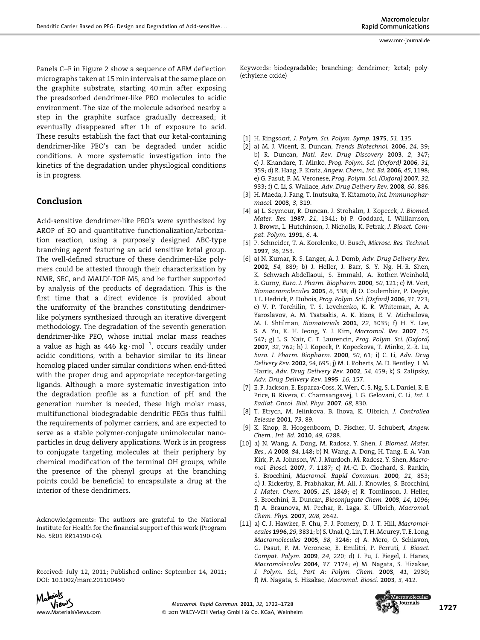Panels C–F in Figure 2 show a sequence of AFM deflection micrographs taken at 15 min intervals at the same place on the graphite substrate, starting 40 min after exposing the preadsorbed dendrimer-like PEO molecules to acidic environment. The size of the molecule adsorbed nearby a step in the graphite surface gradually decreased; it eventually disappeared after 1 h of exposure to acid. These results establish the fact that our ketal-containing dendrimer-like PEO's can be degraded under acidic conditions. A more systematic investigation into the kinetics of the degradation under physilogical conditions

## Conclusion

is in progress.

Acid-sensitive dendrimer-like PEO's were synthesized by AROP of EO and quantitative functionalization/arborization reaction, using a purposely designed ABC-type branching agent featuring an acid sensitive ketal group. The well-defined structure of these dendrimer-like polymers could be attested through their characterization by NMR, SEC, and MALDI-TOF MS, and be further supported by analysis of the products of degradation. This is the first time that a direct evidence is provided about the uniformity of the branches constituting dendrimerlike polymers synthesized through an iterative divergent methodology. The degradation of the seventh generation dendrimer-like PEO, whose initial molar mass reaches a value as high as 446  $kg \cdot mol^{-1}$ , occurs readily under acidic conditions, with a behavior similar to its linear homolog placed under similar conditions when end-fitted with the proper drug and appropriate receptor-targeting ligands. Although a more systematic investigation into the degradation profile as a function of pH and the generation number is needed, these high molar mass, multifunctional biodegradable dendritic PEGs thus fulfill the requirements of polymer carriers, and are expected to serve as a stable polymer-conjugate unimolecular nanoparticles in drug delivery applications. Work is in progress to conjugate targeting molecules at their periphery by chemical modification of the terminal OH groups, while the presence of the phenyl groups at the branching points could be beneficial to encapsulate a drug at the interior of these dendrimers.

Acknowledgements: The authors are grateful to the National Institute for Health for the financial support of this work (Program No. 5R01 RR14190-04).

Received: July 12, 2011; Published online: September 14, 2011; DOI: 10.1002/marc.201100459

Keywords: biodegradable; branching; dendrimer; ketal; poly- (ethylene oxide)

- [1] H. Ringsdorf, J. Polym. Sci. Polym. Symp. 1975, 51, 135.
- [2] a) M. J. Vicent, R. Duncan, Trends Biotechnol. 2006, 24, 39; b) R. Duncan, Natl. Rev. Drug Discovery 2003, 2, 347; c) J. Khandare, T. Minko, Prog. Polym. Sci. (Oxford) 2006, 31, 359; d) R. Haag, F. Kratz, Angew. Chem., Int. Ed. 2006, 45, 1198; e) G. Pasut, F. M. Veronese, Prog. Polym. Sci. (Oxford) 2007, 32, 933; f) C. Li, S. Wallace, Adv. Drug Delivery Rev. 2008, 60, 886.
- [3] H. Maeda, J. Fang, T. Inutsuka, Y. Kitamoto, Int. Immunopharmacol. 2003, 3, 319.
- [4] a) L. Seymour, R. Duncan, J. Strohalm, J. Kopecek, J. Biomed. Mater. Res. 1987, 21, 1341; b) P. Goddard, I. Williamson, J. Brown, L. Hutchinson, J. Nicholls, K. Petrak, J. Bioact. Compat. Polym. 1991, 6, 4.
- [5] P. Schneider, T. A. Korolenko, U. Busch, Microsc. Res. Technol. 1997, 36, 253.
- [6] a) N. Kumar, R. S. Langer, A. J. Domb, Adv. Drug Delivery Rev. 2002, 54, 889; b) J. Heller, J. Barr, S. Y. Ng, H.-R. Shen, K. Schwach-Abdellaoui, S. Emmahl, A. Rothen-Weinhold, R. Gurny, Euro. J. Pharm. Biopharm. 2000, 50, 121; c) M. Vert, Biomacromolecules 2005, 6, 538; d) O. Coulembier, P. Degée, J. L. Hedrick, P. Dubois, Prog. Polym. Sci. (Oxford) 2006, 31, 723; e) V. P. Torchilin, T. S. Levchenko, K. R. Whiteman, A. A. Yaroslavov, A. M. Tsatsakis, A. K. Rizos, E. V. Michailova, M. I. Shtilman, Biomaterials 2001, 22, 3035; f) H. Y. Lee, S. A. Yu, K. H. Jeong, Y. J. Kim, Macromol. Res. 2007, 15, 547; g) L. S. Nair, C. T. Laurencin, Prog. Polym. Sci. (Oxford) 2007, 32, 762; h) J. Kopeek, P. Kopeckova, T. Minko, Z.-R. Lu, Euro. J. Pharm. Biopharm. 2000, 50, 61; i) C. Li, Adv. Drug Delivery Rev. 2002, 54, 695; j) M. J. Roberts, M. D. Bentley, J. M. Harris, Adv. Drug Delivery Rev. 2002, 54, 459; k) S. Zalipsky, Adv. Drug Delivery Rev. 1995, 16, 157.
- [7] E. F. Jackson, E. Esparza-Coss, X. Wen, C. S. Ng, S. L. Daniel, R. E. Price, B. Rivera, C. Charnsangavej, J. G. Gelovani, C. Li, Int. J. Radiat. Oncol. Biol. Phys. 2007, 68, 830.
- [8] T. Etrych, M. Jelinkova, B. Ihova, K. Ulbrich, J. Controlled Release 2001, 73, 89.
- K. Knop, R. Hoogenboom, D. Fischer, U. Schubert, Angew. Chem., Int. Ed. 2010, 49, 6288.
- [10] a) N. Wang, A. Dong, M. Radosz, Y. Shen, J. Biomed. Mater. Res., A 2008, 84, 148; b) N. Wang, A. Dong, H. Tang, E. A. Van Kirk, P. A. Johnson, W. J. Murdoch, M. Radosz, Y. Shen, Macromol. Biosci. 2007, 7, 1187; c) M.-C. D. Clochard, S. Rankin, S. Brocchini, Macromol. Rapid Commun. 2000, 21, 853; d) J. Rickerby, R. Prabhakar, M. Ali, J. Knowles, S. Brocchini, J. Mater. Chem. 2005, 15, 1849; e) R. Tomlinson, J. Heller, S. Brocchini, R. Duncan, Bioconjugate Chem. 2003, 14, 1096; f) A. Braunova, M. Pechar, R. Laga, K. Ulbrich, Macromol. Chem. Phys. 2007, 208, 2642.
- [11] a) C. J. Hawker, F. Chu, P. J. Pomery, D. J. T. Hill, Macromolecules 1996, 29, 3831; b) S. Unal, Q. Lin, T. H. Mourey, T. E. Long, Macromolecules 2005, 38, 3246; c) A. Mero, O. Schiavon, G. Pasut, F. M. Veronese, E. Emilitri, P. Ferruti, J. Bioact. Compat. Polym. 2009, 24, 220; d) J. Fu, J. Fiegel, J. Hanes, Macromolecules 2004, 37, 7174; e) M. Nagata, S. Hizakae, J. Polym. Sci., Part A: Polym. Chem. 2003, 41, 2930; f) M. Nagata, S. Hizakae, Macromol. Biosci. 2003, 3, 412.